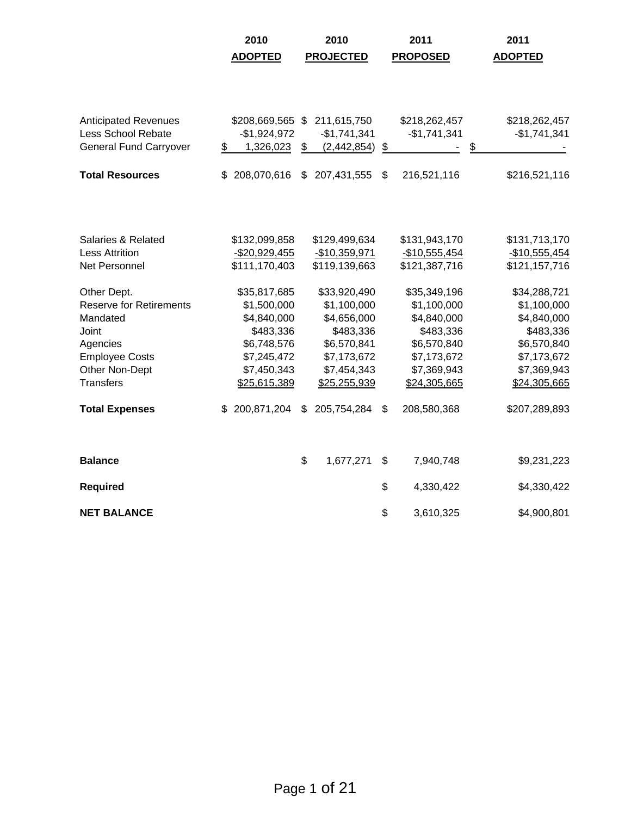|                                | 2010               | 2010                | 2011              | 2011           |
|--------------------------------|--------------------|---------------------|-------------------|----------------|
|                                | <b>ADOPTED</b>     | <b>PROJECTED</b>    | <b>PROPOSED</b>   | <b>ADOPTED</b> |
|                                |                    |                     |                   |                |
|                                |                    |                     |                   |                |
|                                |                    |                     |                   |                |
| <b>Anticipated Revenues</b>    | \$208,669,565 \$   | 211,615,750         | \$218,262,457     | \$218,262,457  |
| <b>Less School Rebate</b>      | $-$1,924,972$      | $-$1,741,341$       | $-$1,741,341$     | $-$1,741,341$  |
| <b>General Fund Carryover</b>  | \$<br>1,326,023    | \$<br>(2, 442, 854) | \$                | \$             |
| <b>Total Resources</b>         | \$<br>208,070,616  | \$<br>207,431,555   | \$<br>216,521,116 | \$216,521,116  |
|                                |                    |                     |                   |                |
|                                |                    |                     |                   |                |
| Salaries & Related             | \$132,099,858      | \$129,499,634       | \$131,943,170     | \$131,713,170  |
| <b>Less Attrition</b>          | $-$20,929,455$     | $-$10,359,971$      | $-$10,555,454$    | $-$10,555,454$ |
| Net Personnel                  | \$111,170,403      | \$119,139,663       | \$121,387,716     | \$121,157,716  |
| Other Dept.                    | \$35,817,685       | \$33,920,490        | \$35,349,196      | \$34,288,721   |
| <b>Reserve for Retirements</b> | \$1,500,000        | \$1,100,000         | \$1,100,000       | \$1,100,000    |
| Mandated                       | \$4,840,000        | \$4,656,000         | \$4,840,000       | \$4,840,000    |
| Joint                          | \$483,336          | \$483,336           | \$483,336         | \$483,336      |
| Agencies                       | \$6,748,576        | \$6,570,841         | \$6,570,840       | \$6,570,840    |
| <b>Employee Costs</b>          | \$7,245,472        | \$7,173,672         | \$7,173,672       | \$7,173,672    |
| Other Non-Dept                 | \$7,450,343        | \$7,454,343         | \$7,369,943       | \$7,369,943    |
| <b>Transfers</b>               | \$25,615,389       | \$25,255,939        | \$24,305,665      | \$24,305,665   |
| <b>Total Expenses</b>          | 200,871,204<br>\$. | \$<br>205,754,284   | \$<br>208,580,368 | \$207,289,893  |
|                                |                    |                     |                   |                |
| <b>Balance</b>                 |                    | \$<br>1,677,271     | \$<br>7,940,748   | \$9,231,223    |
| <b>Required</b>                |                    |                     | \$<br>4,330,422   | \$4,330,422    |
| <b>NET BALANCE</b>             |                    |                     | \$<br>3,610,325   | \$4,900,801    |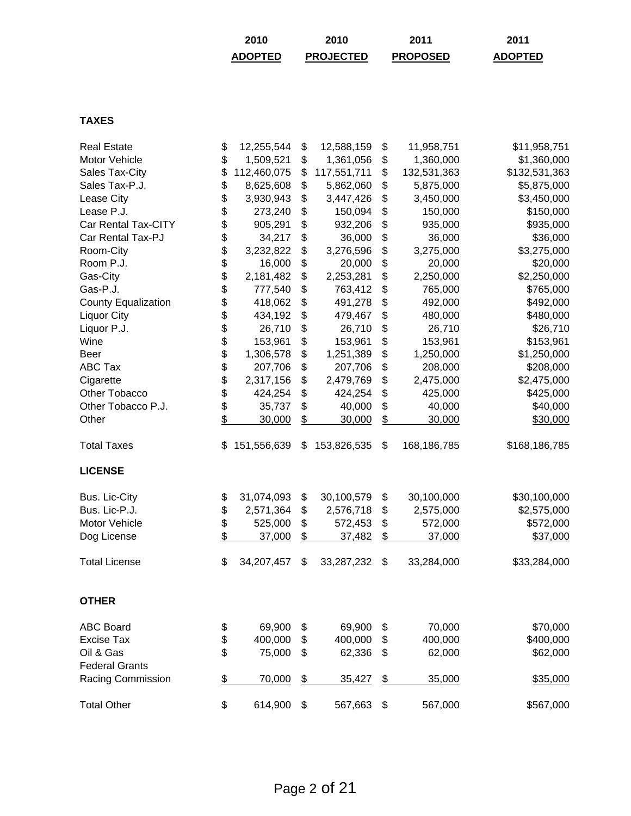| 2010           | 2010             | 2011            | 2011           |
|----------------|------------------|-----------------|----------------|
| <b>ADOPTED</b> | <b>PROJECTED</b> | <b>PROPOSED</b> | <b>ADOPTED</b> |

## **TAXES**

| <b>Real Estate</b>         | \$             | 12,255,544  | \$            | 12,588,159  | \$             | 11,958,751  | \$11,958,751  |
|----------------------------|----------------|-------------|---------------|-------------|----------------|-------------|---------------|
| Motor Vehicle              | \$             | 1,509,521   | \$            | 1,361,056   | \$             | 1,360,000   | \$1,360,000   |
| Sales Tax-City             | \$             | 112,460,075 | \$            | 117,551,711 | \$             | 132,531,363 | \$132,531,363 |
| Sales Tax-P.J.             | \$             | 8,625,608   | \$            | 5,862,060   | \$             | 5,875,000   | \$5,875,000   |
| Lease City                 | \$             | 3,930,943   | \$            | 3,447,426   | \$             | 3,450,000   | \$3,450,000   |
| Lease P.J.                 | \$             | 273,240     | \$            | 150,094     | \$             | 150,000     | \$150,000     |
| Car Rental Tax-CITY        | \$             | 905,291     | \$            | 932,206     | \$             | 935,000     | \$935,000     |
| Car Rental Tax-PJ          | \$             | 34,217      | \$            | 36,000      | \$             | 36,000      | \$36,000      |
| Room-City                  |                | 3,232,822   | \$            | 3,276,596   | \$             | 3,275,000   | \$3,275,000   |
| Room P.J.                  | \$<br>\$       | 16,000      | \$            | 20,000      | \$             | 20,000      | \$20,000      |
| Gas-City                   | \$             | 2,181,482   | \$            | 2,253,281   | \$             | 2,250,000   | \$2,250,000   |
| Gas-P.J.                   | \$             | 777,540     | \$            | 763,412     | \$             | 765,000     | \$765,000     |
| <b>County Equalization</b> | \$             | 418,062     | \$            | 491,278     | \$             | 492,000     | \$492,000     |
| <b>Liquor City</b>         |                | 434,192     | \$            | 479,467     | \$             | 480,000     | \$480,000     |
| Liquor P.J.                |                | 26,710      | \$            | 26,710      | \$             | 26,710      | \$26,710      |
| Wine                       |                | 153,961     | \$            | 153,961     | \$             | 153,961     | \$153,961     |
| <b>Beer</b>                | \$\$\$\$\$\$\$ | 1,306,578   | \$            | 1,251,389   | \$             | 1,250,000   | \$1,250,000   |
| <b>ABC Tax</b>             |                | 207,706     | \$            | 207,706     | \$             | 208,000     | \$208,000     |
| Cigarette                  |                | 2,317,156   | \$            | 2,479,769   | \$             | 2,475,000   | \$2,475,000   |
| Other Tobacco              |                | 424,254     | \$            | 424,254     | \$             | 425,000     | \$425,000     |
| Other Tobacco P.J.         | \$             | 35,737      | \$            | 40,000      | \$             | 40,000      | \$40,000      |
| Other                      | \$             | 30,000      | \$            | 30,000      | \$             | 30,000      | \$30,000      |
| <b>Total Taxes</b>         | \$             | 151,556,639 | \$            | 153,826,535 | \$             | 168,186,785 | \$168,186,785 |
| <b>LICENSE</b>             |                |             |               |             |                |             |               |
| Bus. Lic-City              | \$             | 31,074,093  | \$            | 30,100,579  | \$             | 30,100,000  | \$30,100,000  |
| Bus. Lic-P.J.              | \$             | 2,571,364   | \$            | 2,576,718   | \$             | 2,575,000   | \$2,575,000   |
| Motor Vehicle              | \$             | 525,000     | \$            | 572,453     | \$             | 572,000     | \$572,000     |
| Dog License                | \$             | 37,000      | $\frac{1}{2}$ | 37,482      | \$             | 37,000      | \$37,000      |
| <b>Total License</b>       | \$             | 34,207,457  | \$            | 33,287,232  | \$             | 33,284,000  | \$33,284,000  |
| <b>OTHER</b>               |                |             |               |             |                |             |               |
| <b>ABC Board</b>           | \$             | 69,900      | \$            | 69,900      | \$             | 70,000      | \$70,000      |
| <b>Excise Tax</b>          | \$             | 400,000     | \$            | 400,000     | \$             | 400,000     | \$400,000     |
| Oil & Gas                  | \$             | 75,000      | \$            | 62,336      | \$             | 62,000      | \$62,000      |
| <b>Federal Grants</b>      |                |             |               |             |                |             |               |
| Racing Commission          | \$             | 70,000      | $\frac{2}{3}$ | 35,427      | $\overline{P}$ | 35,000      | \$35,000      |
| <b>Total Other</b>         | \$             | 614,900     | \$            | 567,663     | \$             | 567,000     | \$567,000     |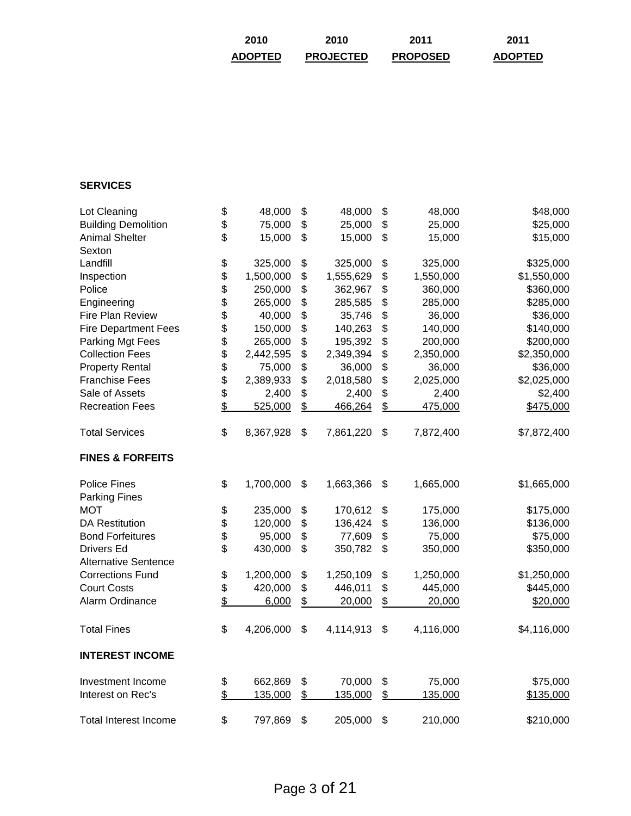| 2010           | 2010             | 2011            | 2011           |
|----------------|------------------|-----------------|----------------|
| <b>ADOPTED</b> | <b>PROJECTED</b> | <b>PROPOSED</b> | <b>ADOPTED</b> |

# **SERVICES**

| Lot Cleaning                 | \$                       | 48,000    | \$            | 48,000    | \$            | 48,000    | \$48,000    |
|------------------------------|--------------------------|-----------|---------------|-----------|---------------|-----------|-------------|
| <b>Building Demolition</b>   | \$                       | 75,000    | \$            | 25,000    | \$            | 25,000    | \$25,000    |
| <b>Animal Shelter</b>        | \$                       | 15,000    | \$            | 15,000    | \$            | 15,000    | \$15,000    |
| Sexton                       |                          |           |               |           |               |           |             |
| Landfill                     | \$                       | 325,000   | \$            | 325,000   | \$            | 325,000   | \$325,000   |
| Inspection                   |                          | 1,500,000 | \$            | 1,555,629 | \$            | 1,550,000 | \$1,550,000 |
| Police                       | \$                       | 250,000   | \$            | 362,967   | \$            | 360,000   | \$360,000   |
| Engineering                  |                          | 265,000   | \$            | 285,585   | \$            | 285,000   | \$285,000   |
| Fire Plan Review             |                          | 40,000    | \$            | 35,746    | \$            | 36,000    | \$36,000    |
| <b>Fire Department Fees</b>  |                          | 150,000   | \$            | 140,263   | \$            | 140,000   | \$140,000   |
| Parking Mgt Fees             |                          | 265,000   | \$            | 195,392   | \$            | 200,000   | \$200,000   |
| <b>Collection Fees</b>       |                          | 2,442,595 | \$            | 2,349,394 | \$            | 2,350,000 | \$2,350,000 |
| <b>Property Rental</b>       |                          | 75,000    | \$            | 36,000    | \$            | 36,000    | \$36,000    |
| <b>Franchise Fees</b>        | <b>8888888</b>           | 2,389,933 | \$            | 2,018,580 | \$            | 2,025,000 | \$2,025,000 |
| Sale of Assets               | \$                       | 2,400     | \$            | 2,400     | \$            | 2,400     | \$2,400     |
| <b>Recreation Fees</b>       | \$                       | 525,000   | \$            | 466,264   | \$            | 475,000   | \$475,000   |
| <b>Total Services</b>        | \$                       | 8,367,928 | \$            | 7,861,220 | \$            | 7,872,400 | \$7,872,400 |
| <b>FINES &amp; FORFEITS</b>  |                          |           |               |           |               |           |             |
| <b>Police Fines</b>          | \$                       | 1,700,000 | \$            | 1,663,366 | \$            | 1,665,000 | \$1,665,000 |
| <b>Parking Fines</b>         |                          |           |               |           |               |           |             |
| <b>MOT</b>                   | \$                       | 235,000   | \$            | 170,612   | \$            | 175,000   | \$175,000   |
| <b>DA Restitution</b>        | \$                       | 120,000   | \$            | 136,424   | \$            | 136,000   | \$136,000   |
| <b>Bond Forfeitures</b>      | \$                       | 95,000    | \$            | 77,609    | \$            | 75,000    | \$75,000    |
| <b>Drivers Ed</b>            | \$                       | 430,000   | \$            | 350,782   | \$            | 350,000   | \$350,000   |
| <b>Alternative Sentence</b>  |                          |           |               |           |               |           |             |
| <b>Corrections Fund</b>      | \$                       | 1,200,000 | \$            | 1,250,109 | \$            | 1,250,000 | \$1,250,000 |
| <b>Court Costs</b>           | \$                       | 420,000   | \$            | 446,011   | \$            | 445,000   | \$445,000   |
| Alarm Ordinance              | $\overline{\mathcal{L}}$ | 6,000     | \$            | 20,000    | \$            | 20,000    | \$20,000    |
| <b>Total Fines</b>           | \$                       | 4,206,000 | \$            | 4,114,913 | \$            | 4,116,000 | \$4,116,000 |
| <b>INTEREST INCOME</b>       |                          |           |               |           |               |           |             |
| Investment Income            | \$                       | 662,869   | \$            | 70,000    | \$            | 75,000    | \$75,000    |
| Interest on Rec's            | $\overline{\mathcal{L}}$ | 135,000   | $\frac{1}{2}$ | 135,000   | $\frac{1}{2}$ | 135,000   | \$135,000   |
| <b>Total Interest Income</b> | \$                       | 797,869   | \$            | 205,000   | \$            | 210,000   | \$210,000   |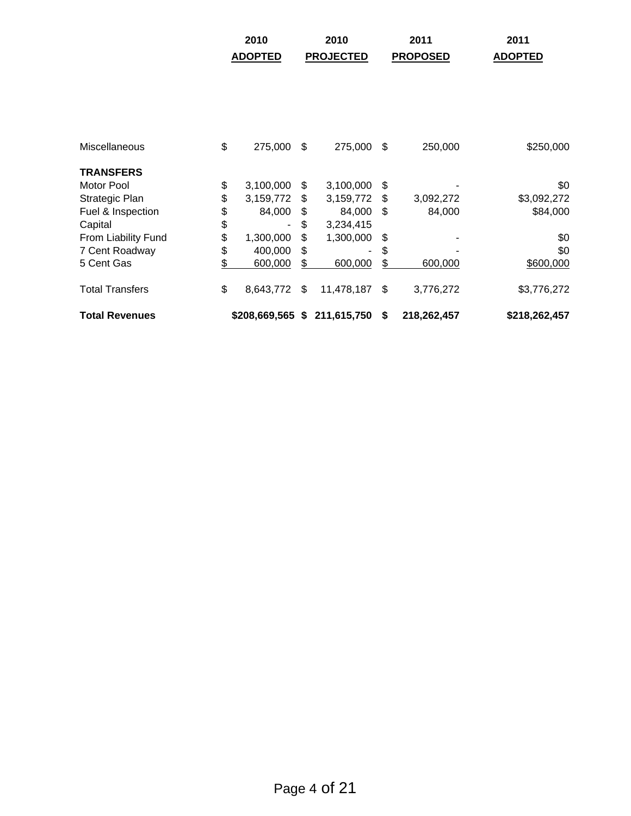|                        | 2010            |     | 2010                        |     | 2011            | 2011           |
|------------------------|-----------------|-----|-----------------------------|-----|-----------------|----------------|
|                        | <b>ADOPTED</b>  |     | <b>PROJECTED</b>            |     | <b>PROPOSED</b> | <b>ADOPTED</b> |
|                        |                 |     |                             |     |                 |                |
|                        |                 |     |                             |     |                 |                |
|                        |                 |     |                             |     |                 |                |
|                        |                 |     |                             |     |                 |                |
| <b>Miscellaneous</b>   | \$<br>275,000   | -\$ | 275,000                     | \$  | 250,000         | \$250,000      |
| <b>TRANSFERS</b>       |                 |     |                             |     |                 |                |
| Motor Pool             | \$<br>3,100,000 | \$  | 3,100,000                   | \$  |                 | \$0            |
| Strategic Plan         | \$<br>3,159,772 | \$  | 3,159,772                   | \$  | 3,092,272       | \$3,092,272    |
| Fuel & Inspection      | \$<br>84,000    | \$  | 84,000                      | \$. | 84,000          | \$84,000       |
| Capital                | \$              | \$  | 3,234,415                   |     |                 |                |
| From Liability Fund    | \$<br>1,300,000 | \$  | 1,300,000                   | \$  |                 | \$0            |
| 7 Cent Roadway         | \$<br>400,000   | \$  |                             | \$  |                 | \$0            |
| 5 Cent Gas             | \$<br>600,000   | \$  | 600,000                     | \$  | 600,000         | \$600,000      |
| <b>Total Transfers</b> | \$<br>8,643,772 | \$  | 11,478,187                  | \$  | 3,776,272       | \$3,776,272    |
| <b>Total Revenues</b>  |                 |     | \$208,669,565 \$211,615,750 | \$  | 218,262,457     | \$218,262,457  |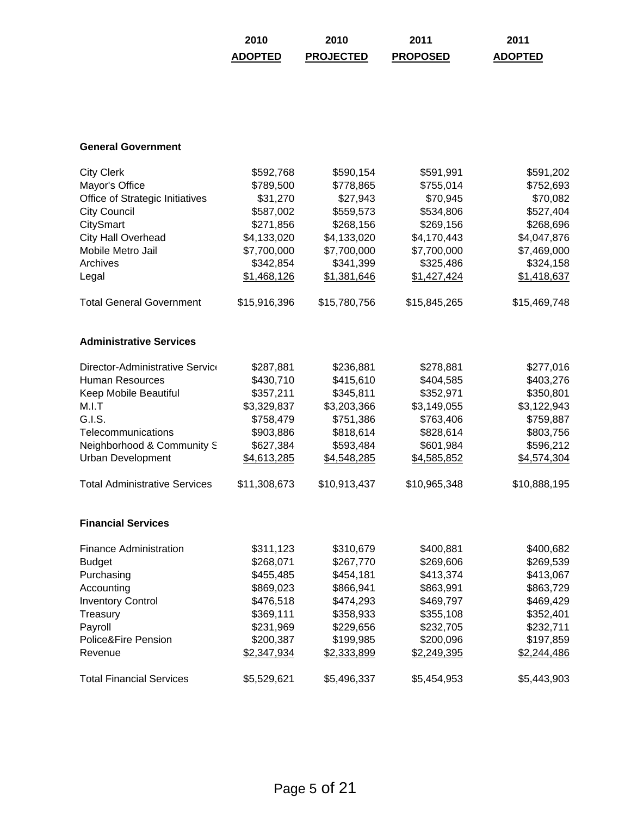| 2010           | 2010             | 2011            | 2011           |
|----------------|------------------|-----------------|----------------|
| <b>ADOPTED</b> | <b>PROJECTED</b> | <b>PROPOSED</b> | <b>ADOPTED</b> |

#### **General Government**

| <b>City Clerk</b>                    | \$592,768    | \$590,154    | \$591,991    | \$591,202    |
|--------------------------------------|--------------|--------------|--------------|--------------|
| Mayor's Office                       | \$789,500    | \$778,865    | \$755,014    | \$752,693    |
| Office of Strategic Initiatives      | \$31,270     | \$27,943     | \$70,945     | \$70,082     |
| <b>City Council</b>                  | \$587,002    | \$559,573    | \$534,806    | \$527,404    |
| CitySmart                            | \$271,856    | \$268,156    | \$269,156    | \$268,696    |
| <b>City Hall Overhead</b>            | \$4,133,020  | \$4,133,020  | \$4,170,443  | \$4,047,876  |
| Mobile Metro Jail                    | \$7,700,000  | \$7,700,000  | \$7,700,000  | \$7,469,000  |
| Archives                             | \$342,854    | \$341,399    | \$325,486    | \$324,158    |
| Legal                                | \$1,468,126  | \$1,381,646  | \$1,427,424  | \$1,418,637  |
| <b>Total General Government</b>      | \$15,916,396 | \$15,780,756 | \$15,845,265 | \$15,469,748 |
| <b>Administrative Services</b>       |              |              |              |              |
| Director-Administrative Service      | \$287,881    | \$236,881    | \$278,881    | \$277,016    |
| <b>Human Resources</b>               | \$430,710    | \$415,610    | \$404,585    | \$403,276    |
| Keep Mobile Beautiful                | \$357,211    | \$345,811    | \$352,971    | \$350,801    |
| M.I.T                                | \$3,329,837  | \$3,203,366  | \$3,149,055  | \$3,122,943  |
| G.I.S.                               | \$758,479    | \$751,386    | \$763,406    | \$759,887    |
| Telecommunications                   | \$903,886    | \$818,614    | \$828,614    | \$803,756    |
| Neighborhood & Community S           | \$627,384    | \$593,484    | \$601,984    | \$596,212    |
| <b>Urban Development</b>             | \$4,613,285  | \$4,548,285  | \$4,585,852  | \$4,574,304  |
| <b>Total Administrative Services</b> | \$11,308,673 | \$10,913,437 | \$10,965,348 | \$10,888,195 |
| <b>Financial Services</b>            |              |              |              |              |
| <b>Finance Administration</b>        | \$311,123    | \$310,679    | \$400,881    | \$400,682    |
| <b>Budget</b>                        | \$268,071    | \$267,770    | \$269,606    | \$269,539    |
| Purchasing                           | \$455,485    | \$454,181    | \$413,374    | \$413,067    |
| Accounting                           | \$869,023    | \$866,941    | \$863,991    | \$863,729    |
| <b>Inventory Control</b>             | \$476,518    | \$474,293    | \$469,797    | \$469,429    |
| Treasury                             | \$369,111    | \$358,933    | \$355,108    | \$352,401    |
| Payroll                              | \$231,969    | \$229,656    | \$232,705    | \$232,711    |
| Police&Fire Pension                  | \$200,387    | \$199,985    | \$200,096    | \$197,859    |
| Revenue                              | \$2,347,934  | \$2,333,899  | \$2,249,395  | \$2,244,486  |
| <b>Total Financial Services</b>      | \$5,529,621  | \$5,496,337  | \$5,454,953  | \$5,443,903  |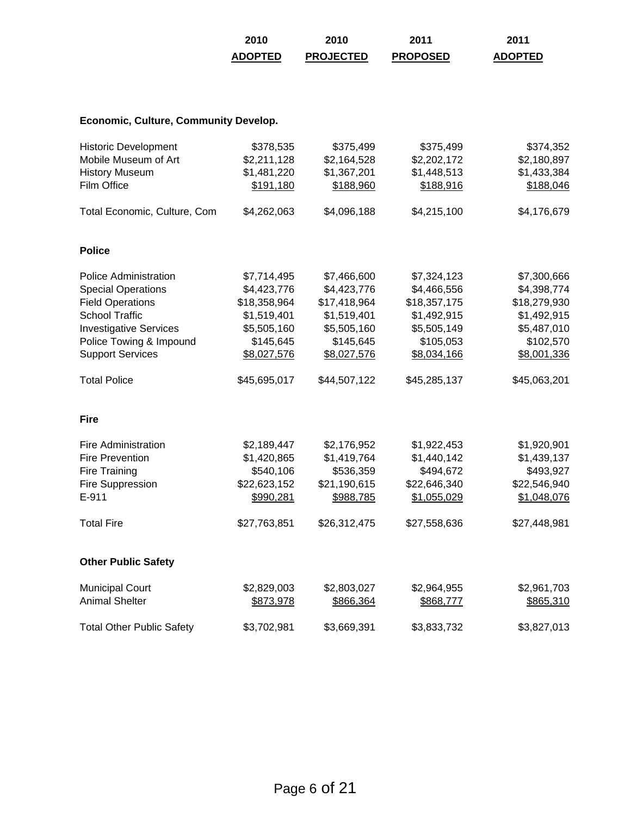| 2010           | 2010             | 2011            | 2011           |
|----------------|------------------|-----------------|----------------|
| <b>ADOPTED</b> | <b>PROJECTED</b> | <b>PROPOSED</b> | <b>ADOPTED</b> |

# **Economic, Culture, Community Develop.**

| <b>Historic Development</b><br>Mobile Museum of Art<br><b>History Museum</b><br>Film Office                                                                                                          | \$378,535<br>\$2,211,128<br>\$1,481,220<br>\$191,180                                                 | \$375,499<br>\$2,164,528<br>\$1,367,201<br>\$188,960                                                 | \$375,499<br>\$2,202,172<br>\$1,448,513<br>\$188,916                                                 | \$374,352<br>\$2,180,897<br>\$1,433,384<br>\$188,046                                                 |
|------------------------------------------------------------------------------------------------------------------------------------------------------------------------------------------------------|------------------------------------------------------------------------------------------------------|------------------------------------------------------------------------------------------------------|------------------------------------------------------------------------------------------------------|------------------------------------------------------------------------------------------------------|
| Total Economic, Culture, Com                                                                                                                                                                         | \$4,262,063                                                                                          | \$4,096,188                                                                                          | \$4,215,100                                                                                          | \$4,176,679                                                                                          |
| <b>Police</b>                                                                                                                                                                                        |                                                                                                      |                                                                                                      |                                                                                                      |                                                                                                      |
| <b>Police Administration</b><br><b>Special Operations</b><br><b>Field Operations</b><br><b>School Traffic</b><br><b>Investigative Services</b><br>Police Towing & Impound<br><b>Support Services</b> | \$7,714,495<br>\$4,423,776<br>\$18,358,964<br>\$1,519,401<br>\$5,505,160<br>\$145,645<br>\$8,027,576 | \$7,466,600<br>\$4,423,776<br>\$17,418,964<br>\$1,519,401<br>\$5,505,160<br>\$145,645<br>\$8,027,576 | \$7,324,123<br>\$4,466,556<br>\$18,357,175<br>\$1,492,915<br>\$5,505,149<br>\$105,053<br>\$8,034,166 | \$7,300,666<br>\$4,398,774<br>\$18,279,930<br>\$1,492,915<br>\$5,487,010<br>\$102,570<br>\$8,001,336 |
| <b>Total Police</b>                                                                                                                                                                                  | \$45,695,017                                                                                         | \$44,507,122                                                                                         | \$45,285,137                                                                                         | \$45,063,201                                                                                         |
| <b>Fire</b>                                                                                                                                                                                          |                                                                                                      |                                                                                                      |                                                                                                      |                                                                                                      |
| <b>Fire Administration</b><br><b>Fire Prevention</b><br>Fire Training<br>Fire Suppression<br>E-911                                                                                                   | \$2,189,447<br>\$1,420,865<br>\$540,106<br>\$22,623,152<br>\$990,281                                 | \$2,176,952<br>\$1,419,764<br>\$536,359<br>\$21,190,615<br>\$988,785                                 | \$1,922,453<br>\$1,440,142<br>\$494,672<br>\$22,646,340<br>\$1,055,029                               | \$1,920,901<br>\$1,439,137<br>\$493,927<br>\$22,546,940<br>\$1,048,076                               |
| <b>Total Fire</b>                                                                                                                                                                                    | \$27,763,851                                                                                         | \$26,312,475                                                                                         | \$27,558,636                                                                                         | \$27,448,981                                                                                         |
| <b>Other Public Safety</b>                                                                                                                                                                           |                                                                                                      |                                                                                                      |                                                                                                      |                                                                                                      |
| <b>Municipal Court</b><br><b>Animal Shelter</b>                                                                                                                                                      | \$2,829,003<br>\$873,978                                                                             | \$2,803,027<br>\$866,364                                                                             | \$2,964,955<br>\$868,777                                                                             | \$2,961,703<br>\$865,310                                                                             |
| <b>Total Other Public Safety</b>                                                                                                                                                                     | \$3,702,981                                                                                          | \$3,669,391                                                                                          | \$3,833,732                                                                                          | \$3,827,013                                                                                          |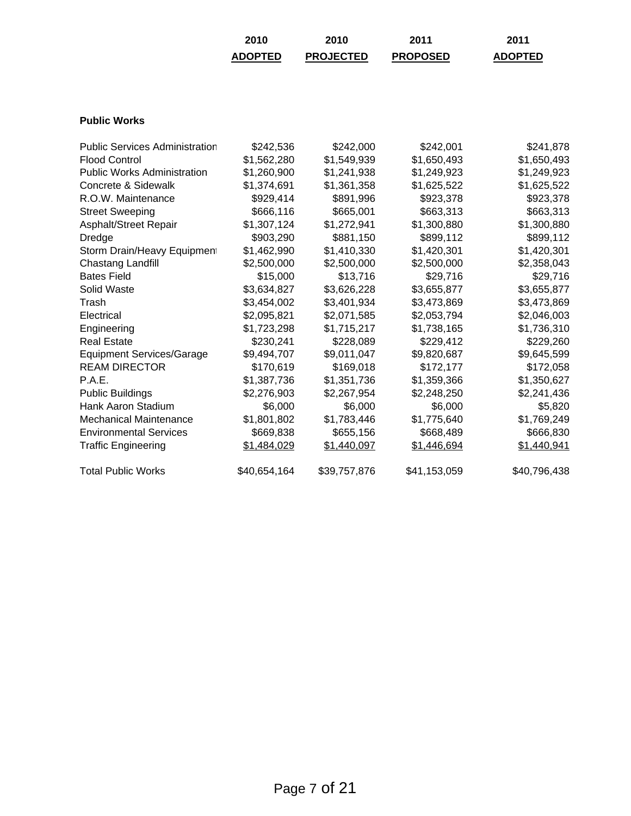| 2010           | 2010             | 2011            | 2011           |
|----------------|------------------|-----------------|----------------|
| <b>ADOPTED</b> | <b>PROJECTED</b> | <b>PROPOSED</b> | <b>ADOPTED</b> |

## **Public Works**

| <b>Public Services Administration</b> | \$242,536    | \$242,000    | \$242,001    | \$241,878    |
|---------------------------------------|--------------|--------------|--------------|--------------|
| <b>Flood Control</b>                  |              |              |              |              |
|                                       | \$1,562,280  | \$1,549,939  | \$1,650,493  | \$1,650,493  |
| <b>Public Works Administration</b>    | \$1,260,900  | \$1,241,938  | \$1,249,923  | \$1,249,923  |
| Concrete & Sidewalk                   | \$1,374,691  | \$1,361,358  | \$1,625,522  | \$1,625,522  |
| R.O.W. Maintenance                    | \$929,414    | \$891,996    | \$923,378    | \$923,378    |
| <b>Street Sweeping</b>                | \$666,116    | \$665,001    | \$663,313    | \$663,313    |
| Asphalt/Street Repair                 | \$1,307,124  | \$1,272,941  | \$1,300,880  | \$1,300,880  |
| Dredge                                | \$903,290    | \$881,150    | \$899,112    | \$899,112    |
| Storm Drain/Heavy Equipment           | \$1,462,990  | \$1,410,330  | \$1,420,301  | \$1,420,301  |
| Chastang Landfill                     | \$2,500,000  | \$2,500,000  | \$2,500,000  | \$2,358,043  |
| <b>Bates Field</b>                    | \$15,000     | \$13,716     | \$29,716     | \$29,716     |
| Solid Waste                           | \$3,634,827  | \$3,626,228  | \$3,655,877  | \$3,655,877  |
| Trash                                 | \$3,454,002  | \$3,401,934  | \$3,473,869  | \$3,473,869  |
| Electrical                            | \$2,095,821  | \$2,071,585  | \$2,053,794  | \$2,046,003  |
| Engineering                           | \$1,723,298  | \$1,715,217  | \$1,738,165  | \$1,736,310  |
| <b>Real Estate</b>                    | \$230,241    | \$228,089    | \$229,412    | \$229,260    |
| <b>Equipment Services/Garage</b>      | \$9,494,707  | \$9,011,047  | \$9,820,687  | \$9,645,599  |
| <b>REAM DIRECTOR</b>                  | \$170,619    | \$169,018    | \$172,177    | \$172,058    |
| P.A.E.                                | \$1,387,736  | \$1,351,736  | \$1,359,366  | \$1,350,627  |
| <b>Public Buildings</b>               | \$2,276,903  | \$2,267,954  | \$2,248,250  | \$2,241,436  |
| Hank Aaron Stadium                    | \$6,000      | \$6,000      | \$6,000      | \$5,820      |
| <b>Mechanical Maintenance</b>         | \$1,801,802  | \$1,783,446  | \$1,775,640  | \$1,769,249  |
| <b>Environmental Services</b>         | \$669,838    | \$655,156    | \$668,489    | \$666,830    |
| <b>Traffic Engineering</b>            | \$1,484,029  | \$1,440,097  | \$1,446,694  | \$1,440,941  |
| <b>Total Public Works</b>             | \$40,654,164 | \$39,757,876 | \$41,153,059 | \$40,796,438 |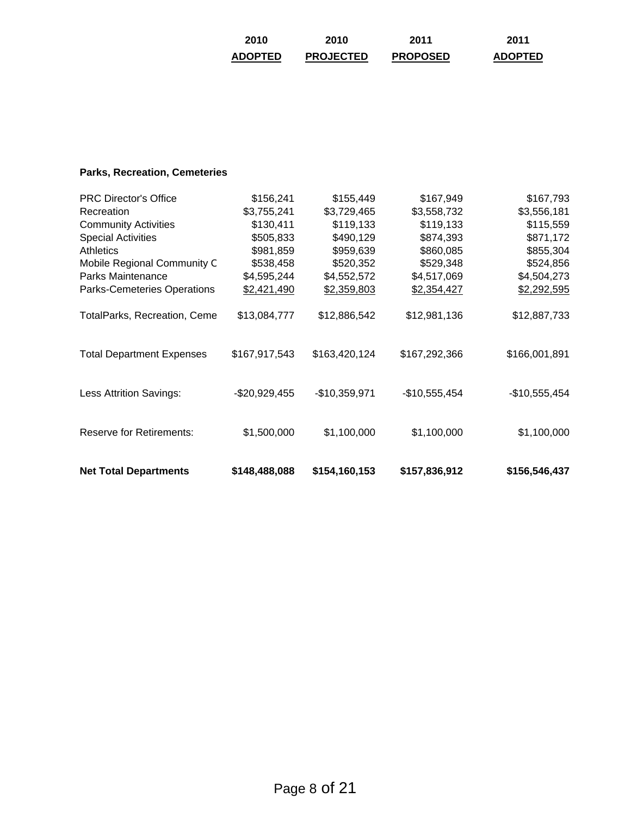| 2010           | 2010             | 2011            | 2011           |
|----------------|------------------|-----------------|----------------|
| <b>ADOPTED</b> | <b>PROJECTED</b> | <b>PROPOSED</b> | <b>ADOPTED</b> |

# **Parks, Recreation, Cemeteries**

| <b>Net Total Departments</b>     | \$148,488,088  | \$154,160,153  | \$157,836,912  | \$156,546,437  |
|----------------------------------|----------------|----------------|----------------|----------------|
| <b>Reserve for Retirements:</b>  | \$1,500,000    | \$1,100,000    | \$1,100,000    | \$1,100,000    |
| <b>Less Attrition Savings:</b>   | $-$20,929,455$ | $-$10,359,971$ | $-$10,555,454$ | $-$10,555,454$ |
| <b>Total Department Expenses</b> | \$167,917,543  | \$163,420,124  | \$167,292,366  | \$166,001,891  |
| TotalParks, Recreation, Ceme     | \$13,084,777   | \$12,886,542   | \$12,981,136   | \$12,887,733   |
| Parks-Cemeteries Operations      | \$2,421,490    | \$2,359,803    | \$2,354,427    | \$2,292,595    |
| Parks Maintenance                | \$4,595,244    | \$4,552,572    | \$4,517,069    | \$4,504,273    |
| Mobile Regional Community C      | \$538,458      | \$520,352      | \$529,348      | \$524,856      |
| <b>Athletics</b>                 | \$981,859      | \$959,639      | \$860,085      | \$855,304      |
| <b>Special Activities</b>        | \$505,833      | \$490,129      | \$874,393      | \$871,172      |
| <b>Community Activities</b>      | \$130,411      | \$119,133      | \$119,133      | \$115,559      |
| Recreation                       | \$3,755,241    | \$3,729,465    | \$3,558,732    | \$3,556,181    |
| <b>PRC Director's Office</b>     | \$156,241      | \$155,449      | \$167,949      | \$167,793      |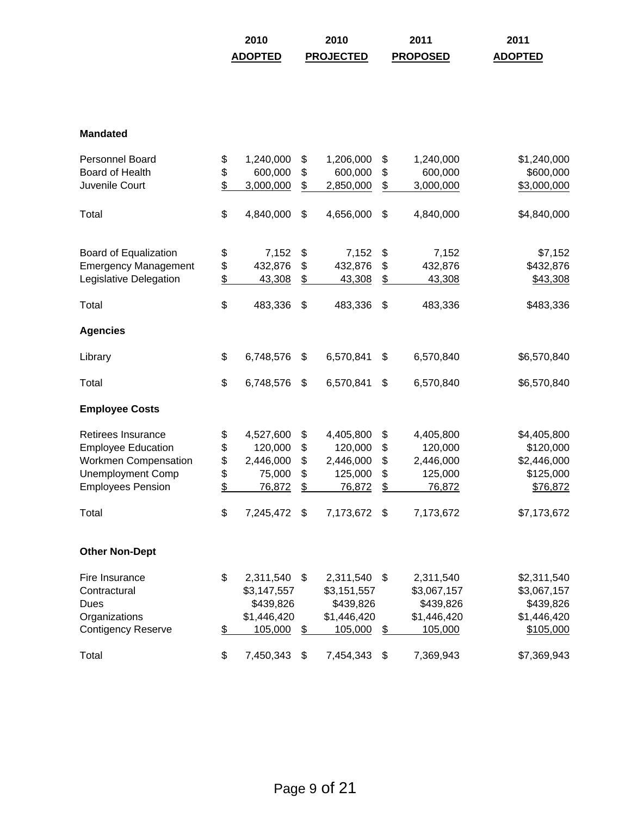| 2010           | 2010             | 2011            | 2011           |
|----------------|------------------|-----------------|----------------|
| <b>ADOPTED</b> | <b>PROJECTED</b> | <b>PROPOSED</b> | <b>ADOPTED</b> |

### **Mandated**

| Personnel Board             | \$                       | 1,240,000   | \$            | 1,206,000   | \$            | 1,240,000   | \$1,240,000 |
|-----------------------------|--------------------------|-------------|---------------|-------------|---------------|-------------|-------------|
| Board of Health             | \$                       | 600,000     | \$            | 600,000     | \$            | 600,000     | \$600,000   |
| Juvenile Court              | $\overline{\mathcal{L}}$ | 3,000,000   | \$            | 2,850,000   | \$            | 3,000,000   | \$3,000,000 |
| Total                       | \$                       | 4,840,000   | \$            | 4,656,000   | \$            | 4,840,000   | \$4,840,000 |
| Board of Equalization       | \$                       | 7,152       | \$            | 7,152       | \$            | 7,152       | \$7,152     |
| <b>Emergency Management</b> | \$                       | 432,876     | \$            | 432,876     | \$            | 432,876     | \$432,876   |
| Legislative Delegation      | $\frac{1}{2}$            | 43,308      | $\frac{2}{3}$ | 43,308      | $\frac{2}{3}$ | 43,308      | \$43,308    |
| Total                       | \$                       | 483,336     | \$            | 483,336     | \$            | 483,336     | \$483,336   |
| <b>Agencies</b>             |                          |             |               |             |               |             |             |
| Library                     | \$                       | 6,748,576   | \$            | 6,570,841   | \$            | 6,570,840   | \$6,570,840 |
| Total                       | \$                       | 6,748,576   | \$            | 6,570,841   | \$            | 6,570,840   | \$6,570,840 |
| <b>Employee Costs</b>       |                          |             |               |             |               |             |             |
| Retirees Insurance          | \$                       | 4,527,600   | \$            | 4,405,800   | \$            | 4,405,800   | \$4,405,800 |
| <b>Employee Education</b>   | \$                       | 120,000     | \$            | 120,000     | \$            | 120,000     | \$120,000   |
| <b>Workmen Compensation</b> | \$                       | 2,446,000   | \$            | 2,446,000   | \$            | 2,446,000   | \$2,446,000 |
| <b>Unemployment Comp</b>    | \$                       | 75,000      | \$            | 125,000     | \$            | 125,000     | \$125,000   |
| <b>Employees Pension</b>    | $\overline{\mathcal{L}}$ | 76,872      | \$            | 76,872      | \$            | 76,872      | \$76,872    |
| Total                       | \$                       | 7,245,472   | \$            | 7,173,672   | \$            | 7,173,672   | \$7,173,672 |
| <b>Other Non-Dept</b>       |                          |             |               |             |               |             |             |
| Fire Insurance              | \$                       | 2,311,540   | \$            | 2,311,540   | \$            | 2,311,540   | \$2,311,540 |
| Contractural                |                          | \$3,147,557 |               | \$3,151,557 |               | \$3,067,157 | \$3,067,157 |
| <b>Dues</b>                 |                          | \$439,826   |               | \$439,826   |               | \$439,826   | \$439,826   |
| Organizations               |                          | \$1,446,420 |               | \$1,446,420 |               | \$1,446,420 | \$1,446,420 |
| <b>Contigency Reserve</b>   | $\frac{1}{2}$            | 105,000     | \$            | 105,000     | \$            | 105,000     | \$105,000   |
| Total                       | \$                       | 7,450,343   | \$            | 7,454,343   | \$            | 7,369,943   | \$7,369,943 |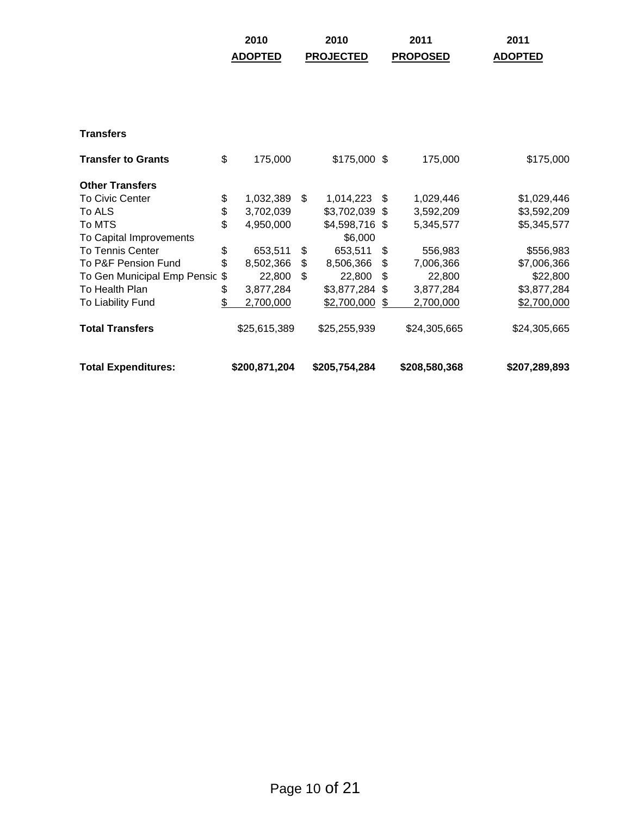|                             | <b>ADOPTED</b>  | <b>PROJECTED</b> | <b>PROPOSED</b> | <b>ADOPTED</b> |
|-----------------------------|-----------------|------------------|-----------------|----------------|
|                             |                 |                  |                 |                |
| <b>Transfers</b>            |                 |                  |                 |                |
| <b>Transfer to Grants</b>   | \$<br>175,000   | $$175,000$ \$    | 175,000         | \$175,000      |
| <b>Other Transfers</b>      |                 |                  |                 |                |
| <b>To Civic Center</b>      | \$<br>1,032,389 | \$<br>1,014,223  | \$<br>1,029,446 | \$1,029,446    |
| To ALS                      | \$<br>3,702,039 | \$3,702,039 \$   | 3,592,209       | \$3,592,209    |
| To MTS                      | \$<br>4,950,000 | \$4,598,716 \$   | 5,345,577       | \$5,345,577    |
| To Capital Improvements     |                 | \$6,000          |                 |                |
| To Tennis Center            | \$<br>653,511   | \$<br>653,511    | \$<br>556,983   | \$556,983      |
| To P&F Pension Fund         | \$<br>8,502,366 | \$<br>8,506,366  | \$<br>7,006,366 | \$7,006,366    |
| To Gen Municipal Emp Pensic | \$<br>22,800    | \$<br>22,800     | \$<br>22,800    | \$22,800       |
| To Health Plan              | \$<br>3,877,284 | \$3,877,284 \$   | 3,877,284       | \$3,877,284    |
| To Liability Fund           | \$<br>2,700,000 | \$2,700,000      | \$<br>2,700,000 | \$2,700,000    |
| <b>Total Transfers</b>      | \$25,615,389    | \$25,255,939     | \$24,305,665    | \$24,305,665   |
| <b>Total Expenditures:</b>  | \$200,871,204   | \$205,754,284    | \$208,580,368   | \$207,289,893  |

**2010 2010 2011 2011**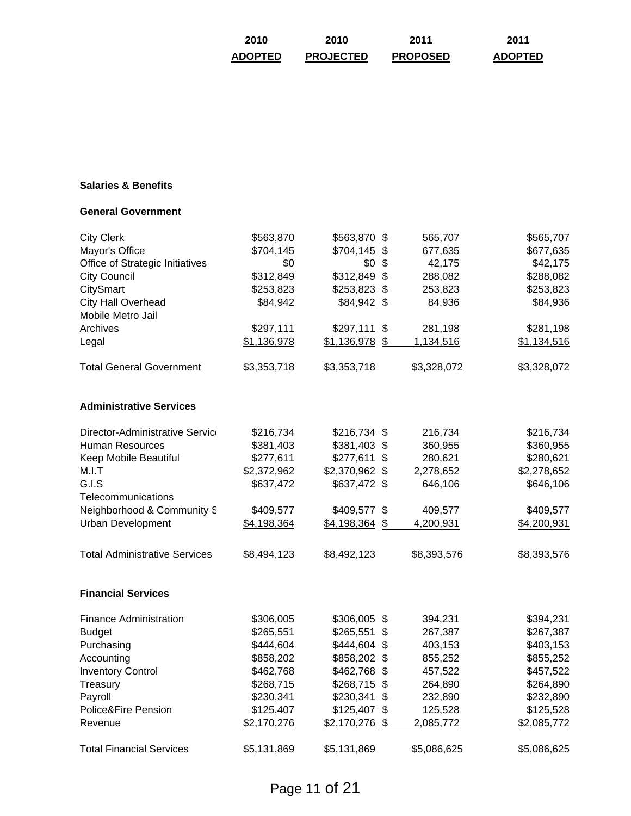| 2010           | 2010             | 2011            | 2011           |
|----------------|------------------|-----------------|----------------|
| <b>ADOPTED</b> | <b>PROJECTED</b> | <b>PROPOSED</b> | <b>ADOPTED</b> |

## **Salaries & Benefits**

#### **General Government**

| <b>City Clerk</b>                    | \$563,870   | \$563,870 \$   |                           | 565,707     | \$565,707   |
|--------------------------------------|-------------|----------------|---------------------------|-------------|-------------|
| Mayor's Office                       | \$704,145   | $$704,145$ \$  |                           | 677,635     | \$677,635   |
| Office of Strategic Initiatives      | \$0         | \$0            | \$                        | 42,175      | \$42,175    |
| <b>City Council</b>                  | \$312,849   | \$312,849      | $\boldsymbol{\mathsf{S}}$ | 288,082     | \$288,082   |
| CitySmart                            | \$253,823   | \$253,823 \$   |                           | 253,823     | \$253,823   |
| <b>City Hall Overhead</b>            | \$84,942    | \$84,942 \$    |                           | 84,936      | \$84,936    |
| Mobile Metro Jail                    |             |                |                           |             |             |
| Archives                             | \$297,111   | $$297,111$ \$  |                           | 281,198     | \$281,198   |
| Legal                                | \$1,136,978 | \$1,136,978    | \$                        | 1,134,516   | \$1,134,516 |
| <b>Total General Government</b>      | \$3,353,718 | \$3,353,718    |                           | \$3,328,072 | \$3,328,072 |
| <b>Administrative Services</b>       |             |                |                           |             |             |
| Director-Administrative Service      | \$216,734   | \$216,734 \$   |                           | 216,734     | \$216,734   |
| <b>Human Resources</b>               | \$381,403   | \$381,403 \$   |                           | 360,955     | \$360,955   |
| Keep Mobile Beautiful                | \$277,611   | $$277,611$ \$  |                           | 280,621     | \$280,621   |
| M.I.T                                | \$2,372,962 | \$2,370,962 \$ |                           | 2,278,652   | \$2,278,652 |
| G.I.S                                | \$637,472   | \$637,472 \$   |                           | 646,106     | \$646,106   |
| Telecommunications                   |             |                |                           |             |             |
| Neighborhood & Community S           | \$409,577   | \$409,577 \$   |                           | 409,577     | \$409,577   |
| <b>Urban Development</b>             | \$4,198,364 | \$4,198,364    | \$                        | 4,200,931   | \$4,200,931 |
| <b>Total Administrative Services</b> | \$8,494,123 | \$8,492,123    |                           | \$8,393,576 | \$8,393,576 |
| <b>Financial Services</b>            |             |                |                           |             |             |
| <b>Finance Administration</b>        | \$306,005   | \$306,005 \$   |                           | 394,231     | \$394,231   |
| <b>Budget</b>                        | \$265,551   | \$265,551      | \$                        | 267,387     | \$267,387   |
| Purchasing                           | \$444,604   | \$444,604      | \$                        | 403,153     | \$403,153   |
| Accounting                           | \$858,202   | \$858,202 \$   |                           | 855,252     | \$855,252   |
| <b>Inventory Control</b>             | \$462,768   | \$462,768 \$   |                           | 457,522     | \$457,522   |
| Treasury                             | \$268,715   | $$268,715$ \$  |                           | 264,890     | \$264,890   |
| Payroll                              | \$230,341   | \$230,341      | \$                        | 232,890     | \$232,890   |
| Police&Fire Pension                  | \$125,407   | \$125,407 \$   |                           | 125,528     | \$125,528   |
| Revenue                              | \$2,170,276 | \$2,170,276    | \$                        | 2,085,772   | \$2,085,772 |
| <b>Total Financial Services</b>      | \$5,131,869 | \$5,131,869    |                           | \$5,086,625 | \$5,086,625 |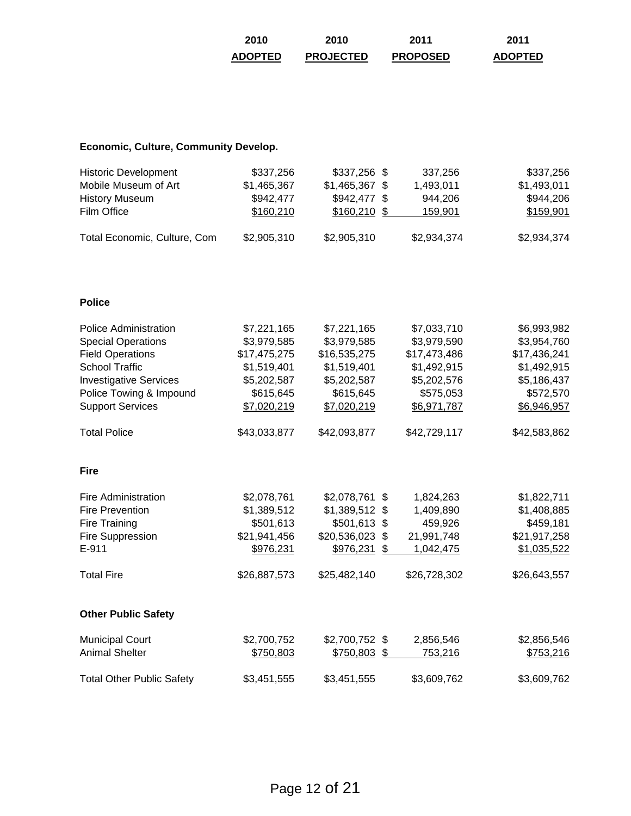| 2010           | 2010             | 2011            | 2011           |
|----------------|------------------|-----------------|----------------|
| <b>ADOPTED</b> | <b>PROJECTED</b> | <b>PROPOSED</b> | <b>ADOPTED</b> |

# **Economic, Culture, Community Develop.**

| <b>Historic Development</b>  | \$337,256   | $$337,256$ \$   | 337.256     | \$337,256   |
|------------------------------|-------------|-----------------|-------------|-------------|
| Mobile Museum of Art         | \$1,465,367 | $$1,465,367$ \$ | 1,493,011   | \$1,493,011 |
| <b>History Museum</b>        | \$942,477   | $$942,477$ \$   | 944.206     | \$944,206   |
| Film Office                  | \$160.210   | $$160,210$ \$   | 159.901     | \$159,901   |
| Total Economic, Culture, Com | \$2,905,310 | \$2,905,310     | \$2,934,374 | \$2,934,374 |

### **Police**

| <b>Police Administration</b>     | \$7,221,165  | \$7,221,165            | \$7,033,710  | \$6,993,982      |
|----------------------------------|--------------|------------------------|--------------|------------------|
| <b>Special Operations</b>        | \$3,979,585  | \$3,979,585            | \$3,979,590  | \$3,954,760      |
| <b>Field Operations</b>          | \$17,475,275 | \$16,535,275           | \$17,473,486 | \$17,436,241     |
| <b>School Traffic</b>            | \$1,519,401  | \$1,519,401            | \$1,492,915  | \$1,492,915      |
| <b>Investigative Services</b>    | \$5,202,587  | \$5,202,587            | \$5,202,576  | \$5,186,437      |
| Police Towing & Impound          | \$615,645    | \$615,645              | \$575,053    | \$572,570        |
| <b>Support Services</b>          | \$7,020,219  | \$7,020,219            | \$6,971,787  | \$6,946,957      |
| <b>Total Police</b>              | \$43,033,877 | \$42,093,877           | \$42,729,117 | \$42,583,862     |
| <b>Fire</b>                      |              |                        |              |                  |
| <b>Fire Administration</b>       | \$2,078,761  | \$2,078,761<br>-\$     | 1,824,263    | \$1,822,711      |
| <b>Fire Prevention</b>           | \$1,389,512  | $$1,389,512$ \$        | 1,409,890    | \$1,408,885      |
| Fire Training                    | \$501,613    | \$501,613 \$           | 459,926      | \$459,181        |
| Fire Suppression                 | \$21,941,456 | \$20,536,023 \$        | 21,991,748   | \$21,917,258     |
| E-911                            | \$976,231    | \$976,231<br>\$        | 1,042,475    | \$1,035,522      |
| <b>Total Fire</b>                | \$26,887,573 | \$25,482,140           | \$26,728,302 | \$26,643,557     |
| <b>Other Public Safety</b>       |              |                        |              |                  |
| <b>Municipal Court</b>           | \$2,700,752  | \$2,700,752 \$         | 2,856,546    | \$2,856,546      |
| <b>Animal Shelter</b>            | \$750,803    | <u>\$750,803</u><br>\$ | 753,216      | <u>\$753,216</u> |
| <b>Total Other Public Safety</b> | \$3,451,555  | \$3,451,555            | \$3,609,762  | \$3,609,762      |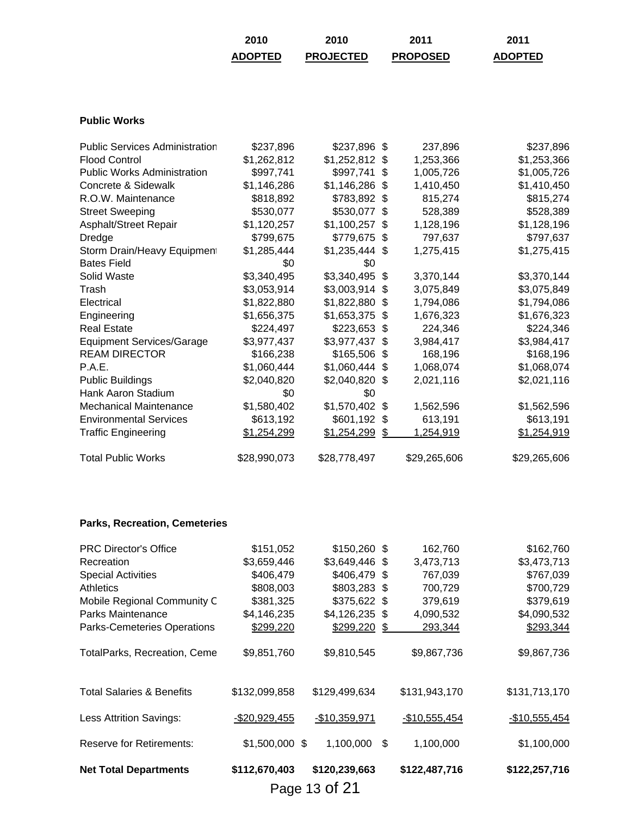| 2010           | 2010             | 2011            | 2011           |
|----------------|------------------|-----------------|----------------|
| <b>ADOPTED</b> | <b>PROJECTED</b> | <b>PROPOSED</b> | <b>ADOPTED</b> |

## **Public Works**

| <b>Public Services Administration</b> | \$237,896    | \$237,896       | -\$  | 237,896      | \$237,896    |
|---------------------------------------|--------------|-----------------|------|--------------|--------------|
| <b>Flood Control</b>                  | \$1,262,812  | \$1,252,812     | -S   | 1,253,366    | \$1,253,366  |
|                                       |              |                 |      |              |              |
| <b>Public Works Administration</b>    | \$997,741    | \$997,741       | S    | 1,005,726    | \$1,005,726  |
| Concrete & Sidewalk                   | \$1,146,286  | \$1,146,286     | S    | 1,410,450    | \$1,410,450  |
| R.O.W. Maintenance                    | \$818,892    | \$783,892       | - \$ | 815,274      | \$815,274    |
| <b>Street Sweeping</b>                | \$530,077    | \$530,077       | \$   | 528,389      | \$528,389    |
| Asphalt/Street Repair                 | \$1,120,257  | \$1,100,257     | \$   | 1,128,196    | \$1,128,196  |
| Dredge                                | \$799,675    | \$779,675       | -S   | 797,637      | \$797,637    |
| Storm Drain/Heavy Equipment           | \$1,285,444  | $$1,235,444$ \$ |      | 1,275,415    | \$1,275,415  |
| <b>Bates Field</b>                    | \$0          | \$0             |      |              |              |
| Solid Waste                           | \$3,340,495  | \$3,340,495     | \$   | 3,370,144    | \$3,370,144  |
| Trash                                 | \$3,053,914  | \$3,003,914     | S    | 3,075,849    | \$3,075,849  |
| Electrical                            | \$1,822,880  | \$1,822,880     | \$   | 1,794,086    | \$1,794,086  |
| Engineering                           | \$1,656,375  | \$1,653,375     | S    | 1,676,323    | \$1,676,323  |
| <b>Real Estate</b>                    | \$224,497    | \$223,653       | \$   | 224,346      | \$224,346    |
| <b>Equipment Services/Garage</b>      | \$3,977,437  | \$3,977,437     | -S   | 3,984,417    | \$3,984,417  |
| <b>REAM DIRECTOR</b>                  | \$166,238    | \$165,506       | \$   | 168,196      | \$168,196    |
| P.A.E.                                | \$1,060,444  | \$1,060,444     | -S   | 1,068,074    | \$1,068,074  |
| <b>Public Buildings</b>               | \$2,040,820  | \$2,040,820     | S.   | 2,021,116    | \$2,021,116  |
| Hank Aaron Stadium                    | \$0          | \$0             |      |              |              |
| <b>Mechanical Maintenance</b>         | \$1,580,402  | \$1,570,402     | -S   | 1,562,596    | \$1,562,596  |
| <b>Environmental Services</b>         | \$613,192    | \$601,192       | \$   | 613,191      | \$613,191    |
| <b>Traffic Engineering</b>            | \$1,254,299  | \$1,254,299     | \$   | 1,254,919    | \$1,254,919  |
| <b>Total Public Works</b>             | \$28,990,073 | \$28,778,497    |      | \$29,265,606 | \$29,265,606 |

## **Parks, Recreation, Cemeteries**

|                                      |                 | Page 13 of 21   |      |                |                |
|--------------------------------------|-----------------|-----------------|------|----------------|----------------|
| <b>Net Total Departments</b>         | \$112,670,403   | \$120,239,663   |      | \$122,487,716  | \$122,257,716  |
| <b>Reserve for Retirements:</b>      | $$1,500,000$ \$ | 1,100,000       | \$   | 1,100,000      | \$1,100,000    |
| <b>Less Attrition Savings:</b>       | $-$20,929,455$  | $-$10,359,971$  |      | $-$10,555,454$ | $-$10,555,454$ |
| <b>Total Salaries &amp; Benefits</b> | \$132,099,858   | \$129,499,634   |      | \$131,943,170  | \$131,713,170  |
| TotalParks, Recreation, Ceme         | \$9,851,760     | \$9,810,545     |      | \$9,867,736    | \$9,867,736    |
| Parks-Cemeteries Operations          | \$299,220       | \$299,220       | - \$ | 293,344        | \$293,344      |
| Parks Maintenance                    | \$4,146,235     | $$4,126,235$ \$ |      | 4,090,532      | \$4,090,532    |
| Mobile Regional Community C          | \$381,325       | \$375,622 \$    |      | 379,619        | \$379,619      |
| <b>Athletics</b>                     | \$808,003       | \$803,283 \$    |      | 700,729        | \$700,729      |
| <b>Special Activities</b>            | \$406,479       | \$406,479 \$    |      | 767,039        | \$767,039      |
| Recreation                           | \$3,659,446     | $$3,649,446$ \$ |      | 3,473,713      | \$3,473,713    |
| <b>PRC Director's Office</b>         | \$151,052       | \$150,260 \$    |      | 162,760        | \$162,760      |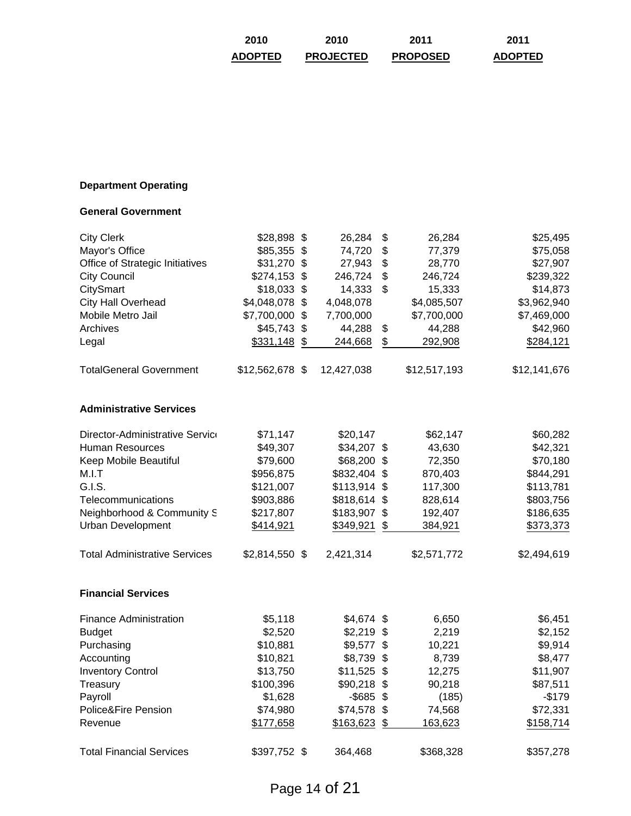| 2010           | 2010             | 2011            | 2011           |
|----------------|------------------|-----------------|----------------|
| <b>ADOPTED</b> | <b>PROJECTED</b> | <b>PROPOSED</b> | <b>ADOPTED</b> |

# **Department Operating**

#### **General Government**

| <b>City Clerk</b>                    | \$28,898 \$     | 26,284          | \$<br>26,284  | \$25,495     |
|--------------------------------------|-----------------|-----------------|---------------|--------------|
| Mayor's Office                       | \$85,355        | \$<br>74,720    | \$<br>77,379  | \$75,058     |
| Office of Strategic Initiatives      | \$31,270        | \$<br>27,943    | \$<br>28,770  | \$27,907     |
| <b>City Council</b>                  | \$274,153       | \$<br>246,724   | \$<br>246,724 | \$239,322    |
| CitySmart                            | \$18,033        | \$<br>14,333    | \$<br>15,333  | \$14,873     |
| <b>City Hall Overhead</b>            | \$4,048,078     | \$<br>4,048,078 | \$4,085,507   | \$3,962,940  |
| Mobile Metro Jail                    | \$7,700,000     | \$<br>7,700,000 | \$7,700,000   | \$7,469,000  |
| Archives                             | \$45,743        | \$<br>44,288    | \$<br>44,288  | \$42,960     |
| Legal                                | $$331,148$ \$   | 244,668         | \$<br>292,908 | \$284,121    |
| <b>TotalGeneral Government</b>       | \$12,562,678 \$ | 12,427,038      | \$12,517,193  | \$12,141,676 |
| <b>Administrative Services</b>       |                 |                 |               |              |
| Director-Administrative Service      | \$71,147        | \$20,147        | \$62,147      | \$60,282     |
| Human Resources                      | \$49,307        | $$34,207$ \$    | 43,630        | \$42,321     |
| Keep Mobile Beautiful                | \$79,600        | \$68,200 \$     | 72,350        | \$70,180     |
| M.I.T                                | \$956,875       | \$832,404       | \$<br>870,403 | \$844,291    |
| G.I.S.                               | \$121,007       | \$113,914       | \$<br>117,300 | \$113,781    |
| Telecommunications                   | \$903,886       | \$818,614       | \$<br>828,614 | \$803,756    |
| Neighborhood & Community S           | \$217,807       | \$183,907       | \$<br>192,407 | \$186,635    |
| Urban Development                    | \$414,921       | \$349,921       | \$<br>384,921 | \$373,373    |
| <b>Total Administrative Services</b> | $$2,814,550$ \$ | 2,421,314       | \$2,571,772   | \$2,494,619  |
| <b>Financial Services</b>            |                 |                 |               |              |
| <b>Finance Administration</b>        | \$5,118         | $$4,674$ \$     | 6,650         | \$6,451      |
| <b>Budget</b>                        | \$2,520         | $$2,219$ \$     | 2,219         | \$2,152      |
| Purchasing                           | \$10,881        | $$9,577$ \$     | 10,221        | \$9,914      |
| Accounting                           | \$10,821        | \$8,739         | \$<br>8,739   | \$8,477      |
| <b>Inventory Control</b>             | \$13,750        | \$11,525        | \$<br>12,275  | \$11,907     |
| Treasury                             | \$100,396       | \$90,218        | \$<br>90,218  | \$87,511     |
| Payroll                              | \$1,628         | $-$ \$685\$     | (185)         | $-$179$      |
| Police&Fire Pension                  | \$74,980        | $$74,578$ \$    | 74,568        | \$72,331     |
| Revenue                              | \$177,658       | \$163,623       | \$<br>163,623 | \$158,714    |
| <b>Total Financial Services</b>      | \$397,752 \$    | 364,468         | \$368,328     | \$357,278    |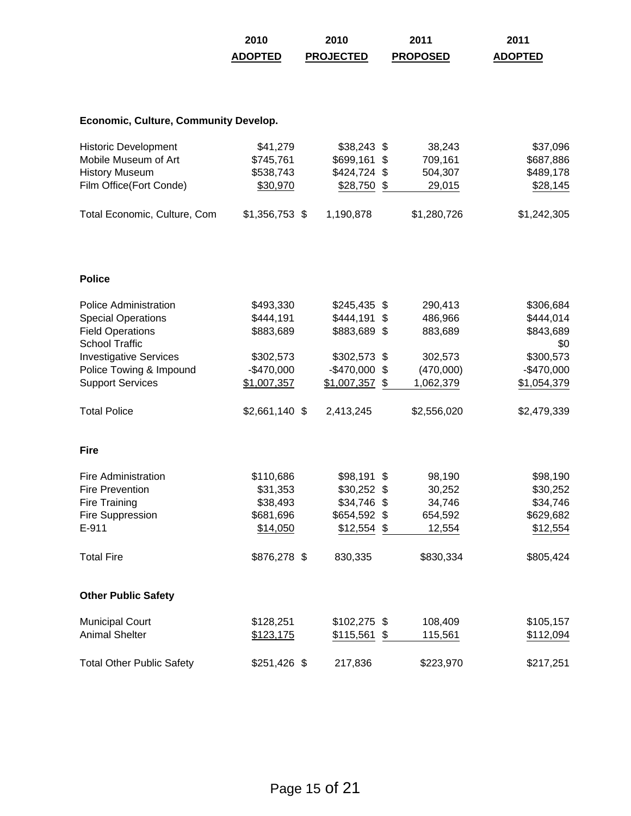|                                                  | 2010            | 2010             | 2011            | 2011             |
|--------------------------------------------------|-----------------|------------------|-----------------|------------------|
|                                                  | <b>ADOPTED</b>  | <b>PROJECTED</b> | <b>PROPOSED</b> | <b>ADOPTED</b>   |
|                                                  |                 |                  |                 |                  |
| <b>Economic, Culture, Community Develop.</b>     |                 |                  |                 |                  |
| <b>Historic Development</b>                      | \$41,279        | $$38,243$ \$     | 38,243          | \$37,096         |
| Mobile Museum of Art                             | \$745,761       | \$699,161        | \$<br>709,161   | \$687,886        |
| <b>History Museum</b>                            | \$538,743       | \$424,724 \$     | 504,307         | \$489,178        |
| Film Office(Fort Conde)                          | \$30,970        | \$28,750 \$      | 29,015          | \$28,145         |
| Total Economic, Culture, Com                     | $$1,356,753$ \$ | 1,190,878        | \$1,280,726     | \$1,242,305      |
| <b>Police</b>                                    |                 |                  |                 |                  |
|                                                  |                 |                  |                 |                  |
| Police Administration                            | \$493,330       | $$245,435$ \$    | 290,413         | \$306,684        |
| <b>Special Operations</b>                        | \$444,191       | $$444,191$ \$    | 486,966         | \$444,014        |
| <b>Field Operations</b><br><b>School Traffic</b> | \$883,689       | \$883,689 \$     | 883,689         | \$843,689<br>\$0 |
| <b>Investigative Services</b>                    | \$302,573       | \$302,573 \$     | 302,573         | \$300,573        |
| Police Towing & Impound                          | $-$470,000$     | $-$ \$470,000    | \$<br>(470,000) | $-$470,000$      |
| <b>Support Services</b>                          | \$1,007,357     | $$1,007,357$ \$  | 1,062,379       | \$1,054,379      |
| <b>Total Police</b>                              | $$2,661,140$ \$ | 2,413,245        | \$2,556,020     | \$2,479,339      |
| <b>Fire</b>                                      |                 |                  |                 |                  |
| <b>Fire Administration</b>                       | \$110,686       | $$98,191$ \$     | 98,190          | \$98,190         |
| <b>Fire Prevention</b>                           | \$31,353        | $$30,252$ \$     | 30,252          | \$30,252         |
| <b>Fire Training</b>                             | \$38,493        | $$34,746$ \$     | 34,746          | \$34,746         |
| Fire Suppression                                 | \$681,696       | \$654,592 \$     | 654,592         | \$629,682        |
| E-911                                            | \$14,050        | $$12,554$ \$     | 12,554          | \$12,554         |
| <b>Total Fire</b>                                | \$876,278 \$    | 830,335          | \$830,334       | \$805,424        |
| <b>Other Public Safety</b>                       |                 |                  |                 |                  |
| <b>Municipal Court</b>                           | \$128,251       | $$102,275$ \$    | 108,409         | \$105,157        |
| <b>Animal Shelter</b>                            | \$123,175       | \$115,561        | \$<br>115,561   | \$112,094        |
| <b>Total Other Public Safety</b>                 | $$251,426$ \$   | 217,836          | \$223,970       | \$217,251        |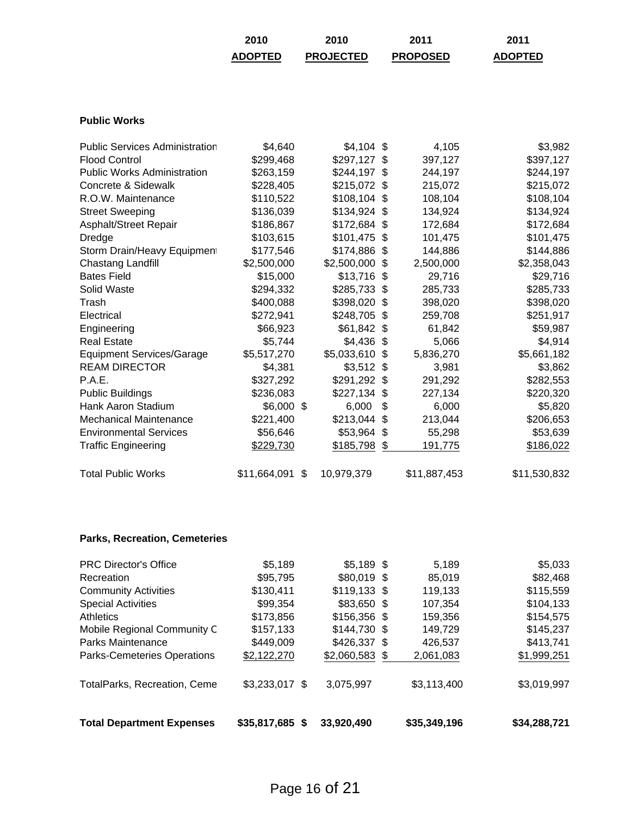| 2010           | 2010             | 2011            | 2011           |
|----------------|------------------|-----------------|----------------|
| <b>ADOPTED</b> | <b>PROJECTED</b> | <b>PROPOSED</b> | <b>ADOPTED</b> |

### **Public Works**

| <b>Public Services Administration</b> | \$4,640         | $$4,104$ \$ |      | 4,105        | \$3,982      |
|---------------------------------------|-----------------|-------------|------|--------------|--------------|
| <b>Flood Control</b>                  | \$299,468       | \$297,127   | S    | 397,127      | \$397,127    |
| <b>Public Works Administration</b>    | \$263,159       | \$244,197   | - \$ | 244,197      | \$244,197    |
| Concrete & Sidewalk                   | \$228,405       | \$215,072   | -S   | 215,072      | \$215,072    |
| R.O.W. Maintenance                    | \$110,522       | \$108,104   | -S   | 108,104      | \$108,104    |
| <b>Street Sweeping</b>                | \$136,039       | \$134,924   | \$   | 134,924      | \$134,924    |
| Asphalt/Street Repair                 | \$186,867       | \$172,684   | -S   | 172,684      | \$172,684    |
| Dredge                                | \$103,615       | \$101,475   | \$.  | 101,475      | \$101,475    |
| Storm Drain/Heavy Equipment           | \$177,546       | \$174,886   | \$.  | 144,886      | \$144,886    |
| Chastang Landfill                     | \$2,500,000     | \$2,500,000 | -S   | 2,500,000    | \$2,358,043  |
| <b>Bates Field</b>                    | \$15,000        | \$13,716    | \$   | 29,716       | \$29,716     |
| Solid Waste                           | \$294,332       | \$285,733   | \$.  | 285,733      | \$285,733    |
| Trash                                 | \$400,088       | \$398,020   | \$.  | 398,020      | \$398,020    |
| Electrical                            | \$272,941       | \$248,705   | -S   | 259,708      | \$251,917    |
| Engineering                           | \$66,923        | \$61,842    | \$   | 61,842       | \$59,987     |
| <b>Real Estate</b>                    | \$5,744         | \$4,436     | \$   | 5,066        | \$4,914      |
| <b>Equipment Services/Garage</b>      | \$5,517,270     | \$5,033,610 | \$.  | 5,836,270    | \$5,661,182  |
| <b>REAM DIRECTOR</b>                  | \$4,381         | \$3,512     | -S   | 3,981        | \$3,862      |
| P.A.E.                                | \$327,292       | \$291,292   | - \$ | 291,292      | \$282,553    |
| <b>Public Buildings</b>               | \$236,083       | \$227,134   | \$   | 227,134      | \$220,320    |
| Hank Aaron Stadium                    | \$6,000 \$      | 6,000       | \$   | 6,000        | \$5,820      |
| Mechanical Maintenance                | \$221,400       | \$213,044   | \$.  | 213,044      | \$206,653    |
| <b>Environmental Services</b>         | \$56,646        | \$53,964    | \$   | 55,298       | \$53,639     |
| <b>Traffic Engineering</b>            | \$229,730       | \$185,798   | \$   | 191,775      | \$186,022    |
| <b>Total Public Works</b>             | \$11,664,091 \$ | 10,979,379  |      | \$11,887,453 | \$11,530,832 |
|                                       |                 |             |      |              |              |

## **Parks, Recreation, Cemeteries**

| <b>Total Department Expenses</b>   | \$35,817,685<br>S. | 33,920,490      | \$35,349,196 | \$34,288,721 |
|------------------------------------|--------------------|-----------------|--------------|--------------|
| TotalParks, Recreation, Ceme       | $$3,233,017$ \$    | 3,075,997       | \$3,113,400  | \$3,019,997  |
| <b>Parks-Cemeteries Operations</b> | \$2,122,270        | $$2,060,583$ \$ | 2,061,083    | \$1,999,251  |
| Parks Maintenance                  | \$449,009          | \$426,337 \$    | 426,537      | \$413,741    |
| Mobile Regional Community C        | \$157,133          | $$144,730$ \$   | 149,729      | \$145,237    |
| Athletics                          | \$173,856          | $$156,356$ \$   | 159,356      | \$154,575    |
| <b>Special Activities</b>          | \$99,354           | \$83,650 \$     | 107,354      | \$104,133    |
| <b>Community Activities</b>        | \$130,411          | $$119,133$ \$   | 119,133      | \$115,559    |
| Recreation                         | \$95,795           | $$80,019$ \$    | 85,019       | \$82,468     |
| <b>PRC Director's Office</b>       | \$5,189            | $$5,189$ \$     | 5.189        | \$5,033      |
|                                    |                    |                 |              |              |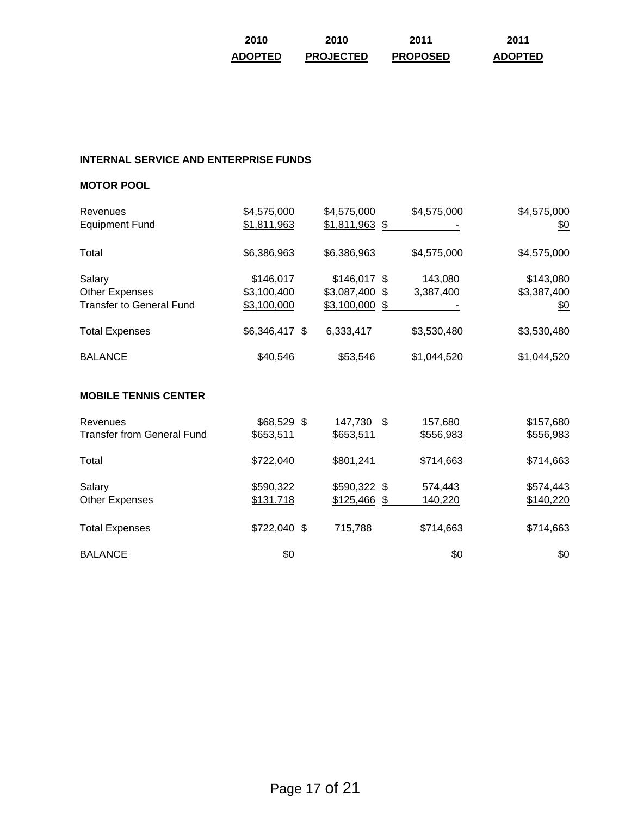| 2010           | 2010             | 2011            | 2011           |
|----------------|------------------|-----------------|----------------|
| <b>ADOPTED</b> | <b>PROJECTED</b> | <b>PROPOSED</b> | <b>ADOPTED</b> |

## **INTERNAL SERVICE AND ENTERPRISE FUNDS**

#### **MOTOR POOL**

| Revenues<br><b>Equipment Fund</b>                           | \$4,575,000<br>\$1,811,963              | \$4,575,000<br>$$1,811,963$ \$                     | \$4,575,000          | \$4,575,000<br>$\underline{\$0}$       |
|-------------------------------------------------------------|-----------------------------------------|----------------------------------------------------|----------------------|----------------------------------------|
| Total                                                       | \$6,386,963                             | \$6,386,963                                        | \$4,575,000          | \$4,575,000                            |
| Salary<br>Other Expenses<br><b>Transfer to General Fund</b> | \$146,017<br>\$3,100,400<br>\$3,100,000 | $$146,017$ \$<br>\$3,087,400 \$<br>$$3,100,000$ \$ | 143,080<br>3,387,400 | \$143,080<br>\$3,387,400<br><u>\$0</u> |
| <b>Total Expenses</b>                                       | \$6,346,417 \$                          | 6,333,417                                          | \$3,530,480          | \$3,530,480                            |
| <b>BALANCE</b>                                              | \$40,546                                | \$53,546                                           | \$1,044,520          | \$1,044,520                            |
| <b>MOBILE TENNIS CENTER</b>                                 |                                         |                                                    |                      |                                        |
| Revenues<br><b>Transfer from General Fund</b>               | \$68,529 \$<br>\$653,511                | 147,730 \$<br>\$653,511                            | 157,680<br>\$556,983 | \$157,680<br>\$556,983                 |
| Total                                                       | \$722,040                               | \$801,241                                          | \$714,663            | \$714,663                              |
| Salary<br><b>Other Expenses</b>                             | \$590,322<br>\$131,718                  | \$590,322 \$<br>\$125,466 \$                       | 574,443<br>140,220   | \$574,443<br>\$140,220                 |

Total Expenses  $$722,040 $$   $$715,788$   $$714,663$   $$714,663$ 

 $\texttt{BALANCE}$  \$0 \$0 \$0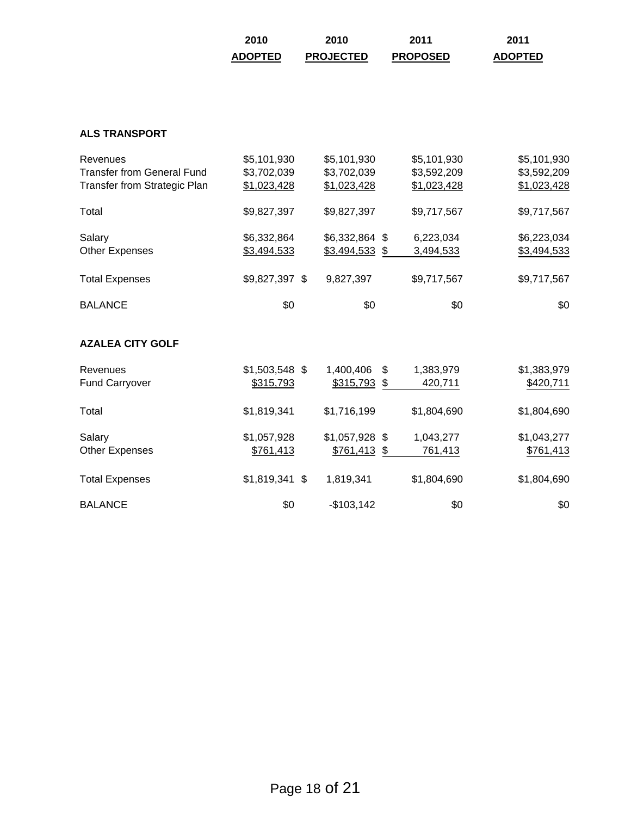| 2010           | 2010             | 2011            | 2011           |
|----------------|------------------|-----------------|----------------|
| <b>ADOPTED</b> | <b>PROJECTED</b> | <b>PROPOSED</b> | <b>ADOPTED</b> |

## **ALS TRANSPORT**

| Revenues                            | \$5,101,930     | \$5,101,930     | \$5,101,930     | \$5,101,930 |
|-------------------------------------|-----------------|-----------------|-----------------|-------------|
| <b>Transfer from General Fund</b>   | \$3,702,039     | \$3,702,039     | \$3,592,209     | \$3,592,209 |
| <b>Transfer from Strategic Plan</b> | \$1,023,428     | \$1,023,428     | \$1,023,428     | \$1,023,428 |
| Total                               | \$9,827,397     | \$9,827,397     | \$9,717,567     | \$9,717,567 |
| Salary                              | \$6,332,864     | \$6,332,864 \$  | 6,223,034       | \$6,223,034 |
| <b>Other Expenses</b>               | \$3,494,533     | $$3,494,533$ \$ | 3,494,533       | \$3,494,533 |
| <b>Total Expenses</b>               | \$9,827,397 \$  | 9,827,397       | \$9,717,567     | \$9,717,567 |
| <b>BALANCE</b>                      | \$0             | \$0             | \$0             | \$0         |
| <b>AZALEA CITY GOLF</b>             |                 |                 |                 |             |
| Revenues                            | $$1,503,548$ \$ | 1,400,406       | \$<br>1,383,979 | \$1,383,979 |
| <b>Fund Carryover</b>               | \$315,793       | \$315,793       | \$<br>420,711   | \$420,711   |
| Total                               | \$1,819,341     | \$1,716,199     | \$1,804,690     | \$1,804,690 |
| Salary                              | \$1,057,928     | $$1,057,928$ \$ | 1,043,277       | \$1,043,277 |
| <b>Other Expenses</b>               | \$761,413       | $$761,413$ \$   | 761,413         | \$761,413   |
| <b>Total Expenses</b>               | $$1,819,341$ \$ | 1,819,341       | \$1,804,690     | \$1,804,690 |
| <b>BALANCE</b>                      | \$0             | $-$103,142$     | \$0             | \$0         |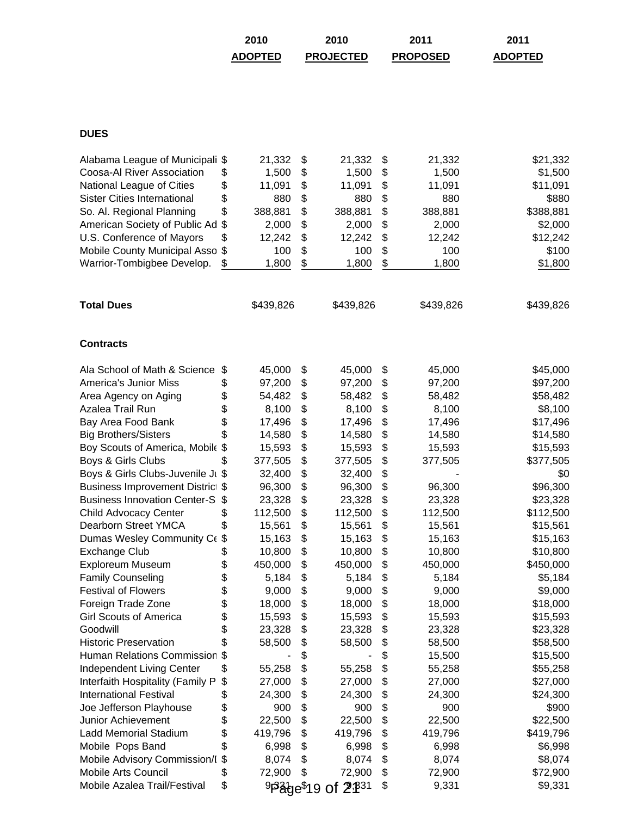| 2010           | 2010             | 2011            | 2011           |
|----------------|------------------|-----------------|----------------|
| <b>ADOPTED</b> | <b>PROJECTED</b> | <b>PROPOSED</b> | <b>ADOPTED</b> |

# **DUES**

| Alabama League of Municipali        | \$       | 21,332    | \$<br>21,332                   | \$<br>21,332  | \$21,332  |
|-------------------------------------|----------|-----------|--------------------------------|---------------|-----------|
| Coosa-Al River Association          | \$       | 1,500     | \$<br>1,500                    | \$<br>1,500   | \$1,500   |
| National League of Cities           | \$       | 11,091    | \$<br>11,091                   | \$<br>11,091  | \$11,091  |
| <b>Sister Cities International</b>  | \$       | 880       | \$<br>880                      | \$<br>880     | \$880     |
| So. Al. Regional Planning           | \$       | 388,881   | \$<br>388,881                  | \$<br>388,881 | \$388,881 |
| American Society of Public Ad       | \$       | 2,000     | \$<br>2,000                    | \$<br>2,000   | \$2,000   |
| U.S. Conference of Mayors           | \$       | 12,242    | \$<br>12,242                   | \$<br>12,242  | \$12,242  |
| Mobile County Municipal Asso        | \$       | 100       | \$<br>100                      | \$<br>100     | \$100     |
| Warrior-Tombigbee Develop.          | \$       | 1,800     | \$<br>1,800                    | \$<br>1,800   | \$1,800   |
|                                     |          |           |                                |               |           |
| <b>Total Dues</b>                   |          | \$439,826 | \$439,826                      | \$439,826     | \$439,826 |
| <b>Contracts</b>                    |          |           |                                |               |           |
| Ala School of Math & Science        | \$       | 45,000    | \$<br>45,000                   | \$<br>45,000  | \$45,000  |
| <b>America's Junior Miss</b>        | \$       | 97,200    | \$<br>97,200                   | \$<br>97,200  | \$97,200  |
| Area Agency on Aging                | \$       | 54,482    | \$<br>58,482                   | \$<br>58,482  | \$58,482  |
| Azalea Trail Run                    | \$<br>\$ | 8,100     | \$<br>8,100                    | \$<br>8,100   | \$8,100   |
| Bay Area Food Bank                  |          | 17,496    | \$<br>17,496                   | \$<br>17,496  | \$17,496  |
| <b>Big Brothers/Sisters</b>         | \$       | 14,580    | \$<br>14,580                   | \$<br>14,580  | \$14,580  |
| Boy Scouts of America, Mobile \$    |          | 15,593    | \$<br>15,593                   | \$<br>15,593  | \$15,593  |
| Boys & Girls Clubs                  | \$       | 377,505   | \$<br>377,505                  | \$<br>377,505 | \$377,505 |
| Boys & Girls Clubs-Juvenile Ji \$   |          | 32,400    | \$<br>32,400                   | \$            | \$0       |
| Business Improvement Distric \$     |          | 96,300    | \$<br>96,300                   | \$<br>96,300  | \$96,300  |
| <b>Business Innovation Center-S</b> | \$       | 23,328    | \$<br>23,328                   | \$<br>23,328  | \$23,328  |
| <b>Child Advocacy Center</b>        | \$       | 112,500   | \$<br>112,500                  | \$<br>112,500 | \$112,500 |
| Dearborn Street YMCA                | \$       | 15,561    | \$<br>15,561                   | \$<br>15,561  | \$15,561  |
| Dumas Wesley Community Ce           | \$       | 15,163    | \$<br>15,163                   | \$<br>15,163  | \$15,163  |
| <b>Exchange Club</b>                | \$       | 10,800    | \$<br>10,800                   | \$<br>10,800  | \$10,800  |
| Exploreum Museum                    | \$       | 450,000   | \$<br>450,000                  | \$<br>450,000 | \$450,000 |
| <b>Family Counseling</b>            | \$       | 5,184     | \$<br>5,184                    | \$<br>5,184   | \$5,184   |
| <b>Festival of Flowers</b>          | \$       | 9,000     | \$<br>9,000                    | \$<br>9,000   | \$9,000   |
| Foreign Trade Zone                  | \$       | 18,000    | \$<br>18,000                   | \$<br>18,000  | \$18,000  |
| <b>Girl Scouts of America</b>       | \$       | 15,593    | \$<br>15,593                   | \$<br>15,593  | \$15,593  |
| Goodwill                            | \$       | 23,328    | \$<br>23,328                   | \$<br>23,328  | \$23,328  |
| <b>Historic Preservation</b>        | \$       | 58,500    | \$<br>58,500                   | \$<br>58,500  | \$58,500  |
| <b>Human Relations Commission</b>   | \$       |           | \$                             | \$<br>15,500  | \$15,500  |
| Independent Living Center           | \$       | 55,258    | \$<br>55,258                   | \$<br>55,258  | \$55,258  |
| Interfaith Hospitality (Family P    | \$       | 27,000    | \$<br>27,000                   | \$<br>27,000  | \$27,000  |
| <b>International Festival</b>       | \$       | 24,300    | \$<br>24,300                   | \$<br>24,300  | \$24,300  |
| Joe Jefferson Playhouse             | \$       | 900       | \$<br>900                      | \$<br>900     | \$900     |
| Junior Achievement                  | \$       | 22,500    | \$<br>22,500                   | \$<br>22,500  | \$22,500  |
| <b>Ladd Memorial Stadium</b>        | \$       | 419,796   | \$<br>419,796                  | \$<br>419,796 | \$419,796 |
| Mobile Pops Band                    | \$       | 6,998     | \$<br>6,998                    | \$<br>6,998   | \$6,998   |
| Mobile Advisory Commission/I        | \$       | 8,074     | \$<br>8,074                    | \$<br>8,074   | \$8,074   |
| Mobile Arts Council                 | \$       | 72,900    | \$<br>72,900                   | \$<br>72,900  | \$72,900  |
| Mobile Azalea Trail/Festival        | \$       |           | 9Page\$19 of 2 <sup>,831</sup> | \$<br>9,331   | \$9,331   |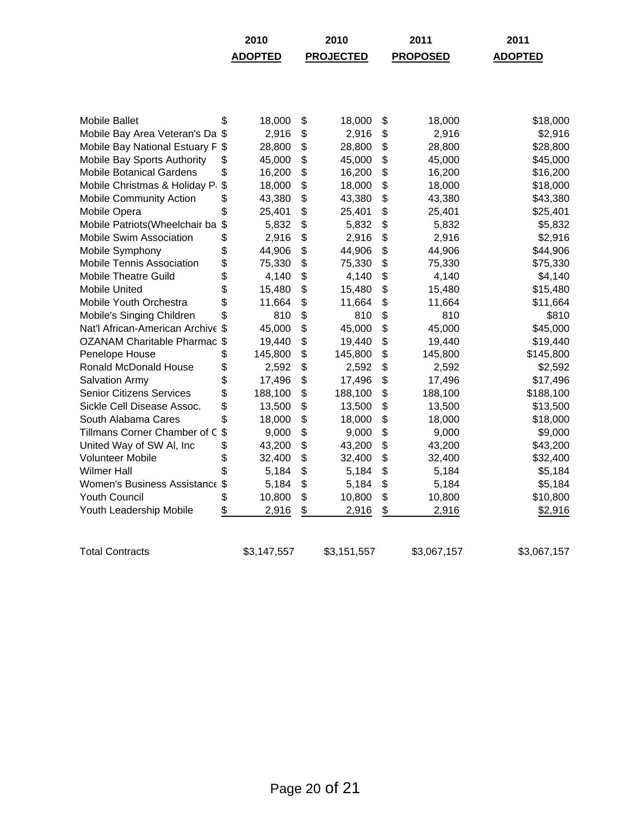|                                   |                           | 2010           | 2010             | 2011            | 2011           |
|-----------------------------------|---------------------------|----------------|------------------|-----------------|----------------|
|                                   |                           | <b>ADOPTED</b> | <b>PROJECTED</b> | <b>PROPOSED</b> | <b>ADOPTED</b> |
|                                   |                           |                |                  |                 |                |
|                                   |                           |                |                  |                 |                |
|                                   |                           |                |                  |                 |                |
|                                   |                           |                |                  |                 |                |
| <b>Mobile Ballet</b>              | \$                        | 18,000         | \$<br>18,000     | \$<br>18,000    | \$18,000       |
| Mobile Bay Area Veteran's Da \$   |                           | 2,916          | \$<br>2,916      | \$<br>2,916     | \$2,916        |
| Mobile Bay National Estuary F     | \$                        | 28,800         | \$<br>28,800     | \$<br>28,800    | \$28,800       |
| Mobile Bay Sports Authority       | \$                        | 45,000         | \$<br>45,000     | \$<br>45,000    | \$45,000       |
| <b>Mobile Botanical Gardens</b>   | \$                        | 16,200         | \$<br>16,200     | \$<br>16,200    | \$16,200       |
| Mobile Christmas & Holiday Pa     | \$                        | 18,000         | \$<br>18,000     | \$<br>18,000    | \$18,000       |
| <b>Mobile Community Action</b>    | \$                        | 43,380         | \$<br>43,380     | \$<br>43,380    | \$43,380       |
| Mobile Opera                      | \$                        | 25,401         | \$<br>25,401     | \$<br>25,401    | \$25,401       |
| Mobile Patriots (Wheelchair ba    | $\boldsymbol{\mathsf{S}}$ | 5,832          | \$<br>5,832      | \$<br>5,832     | \$5,832        |
| Mobile Swim Association           | \$                        | 2,916          | \$<br>2,916      | \$<br>2,916     | \$2,916        |
| Mobile Symphony                   | \$                        | 44,906         | \$<br>44,906     | \$<br>44,906    | \$44,906       |
| Mobile Tennis Association         | \$                        | 75,330         | \$<br>75,330     | \$<br>75,330    | \$75,330       |
| <b>Mobile Theatre Guild</b>       | \$                        | 4,140          | \$<br>4,140      | \$<br>4,140     | \$4,140        |
| <b>Mobile United</b>              | \$                        | 15,480         | \$<br>15,480     | \$<br>15,480    | \$15,480       |
| Mobile Youth Orchestra            | \$                        | 11,664         | \$<br>11,664     | \$<br>11,664    | \$11,664       |
| Mobile's Singing Children         | \$                        | 810            | \$<br>810        | \$<br>810       | \$810          |
| Nat'l African-American Archive \$ |                           | 45,000         | \$<br>45,000     | \$<br>45,000    | \$45,000       |
| OZANAM Charitable Pharmac \$      |                           | 19,440         | \$<br>19,440     | \$<br>19,440    | \$19,440       |
| Penelope House                    | \$                        | 145,800        | \$<br>145,800    | \$<br>145,800   | \$145,800      |
| <b>Ronald McDonald House</b>      | \$                        | 2,592          | \$<br>2,592      | \$<br>2,592     | \$2,592        |
| Salvation Army                    | \$                        | 17,496         | \$<br>17,496     | \$<br>17,496    | \$17,496       |
| <b>Senior Citizens Services</b>   | \$                        | 188,100        | \$<br>188,100    | \$<br>188,100   | \$188,100      |
| Sickle Cell Disease Assoc.        | \$                        | 13,500         | \$<br>13,500     | \$<br>13,500    | \$13,500       |
| South Alabama Cares               | \$                        | 18,000         | \$<br>18,000     | \$<br>18,000    | \$18,000       |
| Tillmans Corner Chamber of C      | $\boldsymbol{\mathsf{S}}$ | 9,000          | \$<br>9,000      | \$<br>9,000     | \$9,000        |
| United Way of SW AI, Inc.         | \$                        | 43,200         | \$<br>43,200     | \$<br>43,200    | \$43,200       |
| <b>Volunteer Mobile</b>           | \$                        | 32,400         | \$<br>32,400     | \$<br>32,400    | \$32,400       |
| <b>Wilmer Hall</b>                | \$                        | 5,184          | \$<br>5,184      | \$<br>5,184     | \$5,184        |
| Women's Business Assistance       | $\mathfrak{F}$            | 5,184          | \$<br>5,184      | \$<br>5,184     | \$5,184        |
| <b>Youth Council</b>              | \$                        | 10,800         | \$<br>10,800     | \$<br>10,800    | \$10,800       |
| Youth Leadership Mobile           | \$                        | 2,916          | \$<br>2,916      | \$<br>2,916     | \$2,916        |
|                                   |                           |                |                  |                 |                |
|                                   |                           |                |                  |                 |                |
| <b>Total Contracts</b>            |                           | \$3,147,557    | \$3,151,557      | \$3,067,157     | \$3,067,157    |